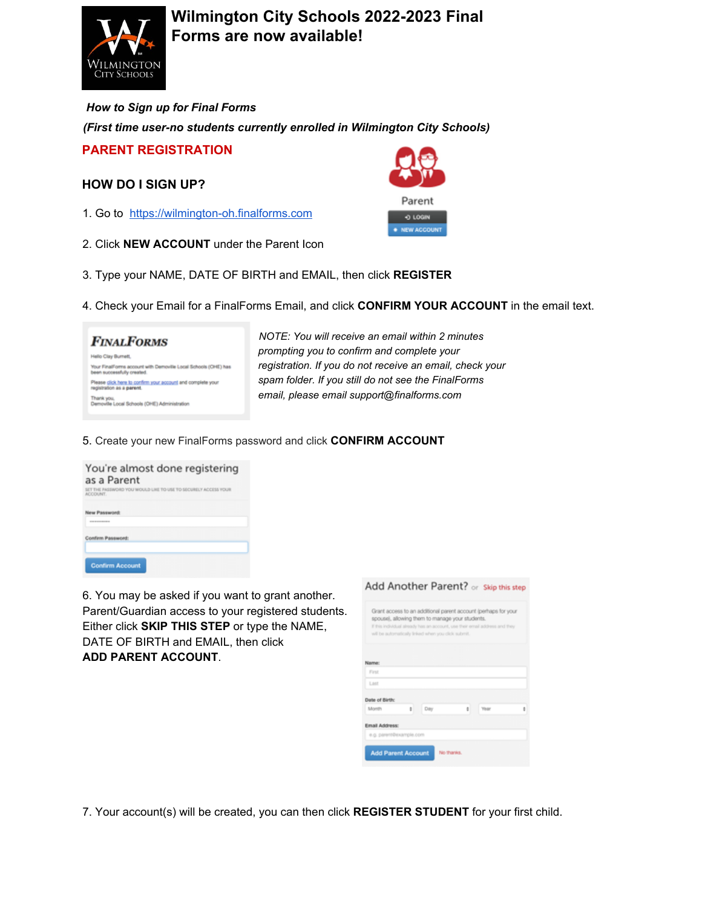

# **Wilmington City Schools 2022-2023 Final Forms are now available!**

# *How to Sign up for Final Forms*

*(First time user-no students currently enrolled in Wilmington City Schools)*

**PARENT REGISTRATION** 

# **HOW DO I SIGN UP?**

1. Go to [https://wilmington-oh.finalforms.com](https://wilmington-oh.finalforms.com/)

- 2. Click **NEW ACCOUNT** under the Parent Icon
- 3. Type your NAME, DATE OF BIRTH and EMAIL, then click **REGISTER**
- 4. Check your Email for a FinalForms Email, and click **CONFIRM YOUR ACCOUNT** in the email text.

**FINALFORMS** Helio Clay Burnett, Your FinalForms account with Demoville Local Schools (CHE) has<br>been successfully created. Please click here to confirm your account and complete your Thank you,<br>Demoville Local Schools (OHE) Administration

*NOTE: You will receive an email within 2 minutes prompting you to confirm and complete your registration. If you do not receive an email, check your spam folder. If you still do not see the FinalForms email, please email [support@finalforms.com](mailto:support@finalforms.com)*

## 5. Create your new FinalForms password and click **CONFIRM ACCOUNT**

| You're almost done registering<br>as a Parent<br>SET THE PASSWORD YOU WOULD LIKE TO USE TO SECURELY ACCESS YOUR<br>ACCOUNT.                                                                                                                                       |  |  |
|-------------------------------------------------------------------------------------------------------------------------------------------------------------------------------------------------------------------------------------------------------------------|--|--|
| New Password:<br><b><i><u>A R R R R R R R PORT OF THE SAME REPORT OF THE ART REPORT OF THE ART REPORTED A REPORT OF THE ART REPORTED A REPORT OF THE ART REPORTED A REPORT OF THE ART REPORTED A REPORT OF THE ART REPORTED A REPORT OF THE ART REPOR</u></i></b> |  |  |
| Confirm Password:                                                                                                                                                                                                                                                 |  |  |
| <b>Confirm Account</b>                                                                                                                                                                                                                                            |  |  |

6. You may be asked if you want to grant another. Parent/Guardian access to your registered students. Either click **SKIP THIS STEP** or type the NAME, DATE OF BIRTH and EMAIL, then click **ADD PARENT ACCOUNT**.

|                |                         | Grant access to an additional parent account (perhaps for your<br>spouse), allowing them to manage your students.<br>If this individual already has an account, use their email address and they<br>will be automatically linked when you click submit. |   |      |   |
|----------------|-------------------------|---------------------------------------------------------------------------------------------------------------------------------------------------------------------------------------------------------------------------------------------------------|---|------|---|
| Name:          |                         |                                                                                                                                                                                                                                                         |   |      |   |
| First          |                         |                                                                                                                                                                                                                                                         |   |      |   |
| Last           |                         |                                                                                                                                                                                                                                                         |   |      |   |
| Date of Birth: |                         |                                                                                                                                                                                                                                                         |   |      |   |
| Month          | ÷                       | Day                                                                                                                                                                                                                                                     | ÷ | Year | t |
| Email Address: |                         |                                                                                                                                                                                                                                                         |   |      |   |
|                | e.g. parent@example.com |                                                                                                                                                                                                                                                         |   |      |   |

7. Your account(s) will be created, you can then click **REGISTER STUDENT** for your first child.

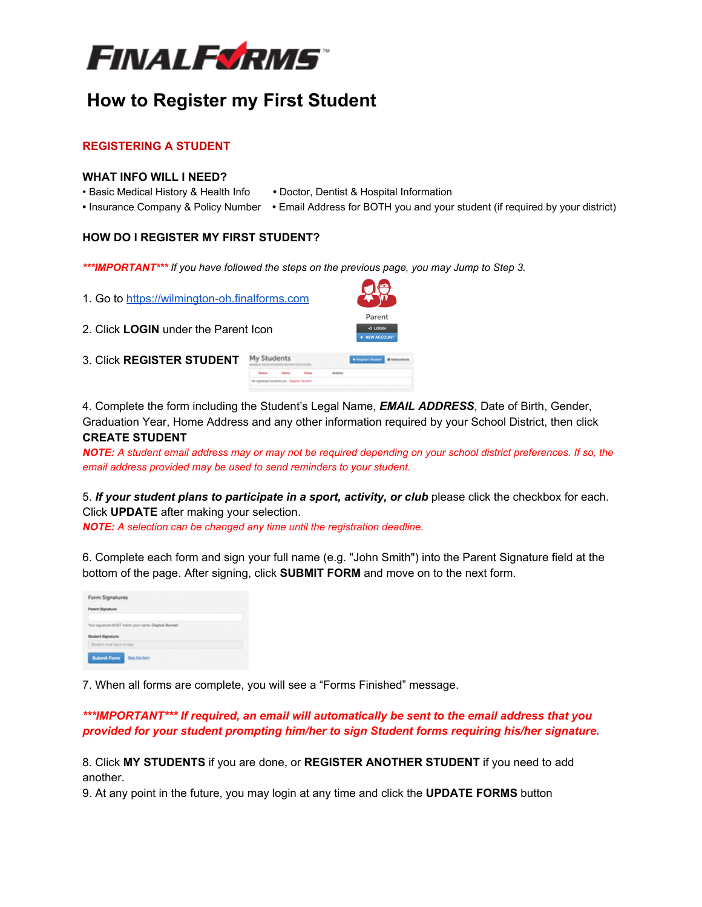

# **How to Register my First Student**

### **REGISTERING A STUDENT**

#### **WHAT INFO WILL I NEED?**

- Basic Medical History & Health Info **•** Doctor, Dentist & Hospital Information
- **•** Insurance Company & Policy Number Email Address for BOTH you and your student (if required by your district)

#### **HOW DO I REGISTER MY FIRST STUDENT?**

*\*\*\*IMPORTANT\*\*\* If you have followed the steps on the previous page, you may Jump to Step 3.*

| 1. Go to https://wilmington-oh.finalforms.com |                                           |  |
|-----------------------------------------------|-------------------------------------------|--|
| 2. Click <b>LOGIN</b> under the Parent Icon   | Parent<br>O LOGIN                         |  |
| <b>3. Click REGISTER STUDENT</b>              | My Students<br><b>B. Racintor Student</b> |  |
|                                               |                                           |  |

4. Complete the form including the Student's Legal Name, *EMAIL ADDRESS*, Date of Birth, Gender, Graduation Year, Home Address and any other information required by your School District, then click **CREATE STUDENT**

*NOTE: A student email address may or may not be required depending on your school district preferences. If so, the email address provided may be used to send reminders to your student.*

5. *If your student plans to participate in a sport, activity, or club* please click the checkbox for each. Click **UPDATE** after making your selection.

*NOTE: A selection can be changed any time until the registration deadline.*

6. Complete each form and sign your full name (e.g. "John Smith") into the Parent Signature field at the bottom of the page. After signing, click **SUBMIT FORM** and move on to the next form.

| Form Signatures              |                                                      |  |  |
|------------------------------|------------------------------------------------------|--|--|
| <b>Parent Signature:</b>     |                                                      |  |  |
|                              |                                                      |  |  |
| Student Signature:           | Your signature MUST match your name: Clayton Burnett |  |  |
| Student must log in to eign. |                                                      |  |  |

7. When all forms are complete, you will see a "Forms Finished" message.

*\*\*\*IMPORTANT\*\*\* If required, an email will automatically be sent to the email address that you provided for your student prompting him/her to sign Student forms requiring his/her signature.*

8. Click **MY STUDENTS** if you are done, or **REGISTER ANOTHER STUDENT** if you need to add another.

9. At any point in the future, you may login at any time and click the **UPDATE FORMS** button